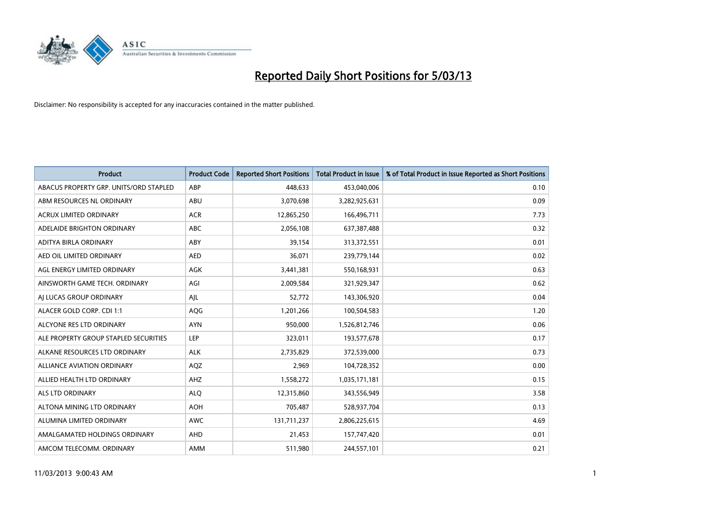

| <b>Product</b>                         | <b>Product Code</b> | <b>Reported Short Positions</b> | <b>Total Product in Issue</b> | % of Total Product in Issue Reported as Short Positions |
|----------------------------------------|---------------------|---------------------------------|-------------------------------|---------------------------------------------------------|
| ABACUS PROPERTY GRP. UNITS/ORD STAPLED | ABP                 | 448.633                         | 453,040,006                   | 0.10                                                    |
| ABM RESOURCES NL ORDINARY              | <b>ABU</b>          | 3,070,698                       | 3,282,925,631                 | 0.09                                                    |
| <b>ACRUX LIMITED ORDINARY</b>          | <b>ACR</b>          | 12,865,250                      | 166,496,711                   | 7.73                                                    |
| ADELAIDE BRIGHTON ORDINARY             | <b>ABC</b>          | 2,056,108                       | 637,387,488                   | 0.32                                                    |
| ADITYA BIRLA ORDINARY                  | ABY                 | 39,154                          | 313,372,551                   | 0.01                                                    |
| AED OIL LIMITED ORDINARY               | <b>AED</b>          | 36,071                          | 239,779,144                   | 0.02                                                    |
| AGL ENERGY LIMITED ORDINARY            | AGK                 | 3,441,381                       | 550,168,931                   | 0.63                                                    |
| AINSWORTH GAME TECH. ORDINARY          | AGI                 | 2,009,584                       | 321,929,347                   | 0.62                                                    |
| AI LUCAS GROUP ORDINARY                | AJL                 | 52,772                          | 143,306,920                   | 0.04                                                    |
| ALACER GOLD CORP. CDI 1:1              | AQG                 | 1,201,266                       | 100,504,583                   | 1.20                                                    |
| ALCYONE RES LTD ORDINARY               | <b>AYN</b>          | 950,000                         | 1,526,812,746                 | 0.06                                                    |
| ALE PROPERTY GROUP STAPLED SECURITIES  | LEP                 | 323,011                         | 193,577,678                   | 0.17                                                    |
| ALKANE RESOURCES LTD ORDINARY          | <b>ALK</b>          | 2,735,829                       | 372,539,000                   | 0.73                                                    |
| <b>ALLIANCE AVIATION ORDINARY</b>      | AQZ                 | 2,969                           | 104,728,352                   | 0.00                                                    |
| ALLIED HEALTH LTD ORDINARY             | AHZ                 | 1,558,272                       | 1,035,171,181                 | 0.15                                                    |
| ALS LTD ORDINARY                       | <b>ALQ</b>          | 12,315,860                      | 343,556,949                   | 3.58                                                    |
| ALTONA MINING LTD ORDINARY             | <b>AOH</b>          | 705,487                         | 528,937,704                   | 0.13                                                    |
| ALUMINA LIMITED ORDINARY               | <b>AWC</b>          | 131,711,237                     | 2,806,225,615                 | 4.69                                                    |
| AMALGAMATED HOLDINGS ORDINARY          | <b>AHD</b>          | 21,453                          | 157,747,420                   | 0.01                                                    |
| AMCOM TELECOMM. ORDINARY               | <b>AMM</b>          | 511,980                         | 244,557,101                   | 0.21                                                    |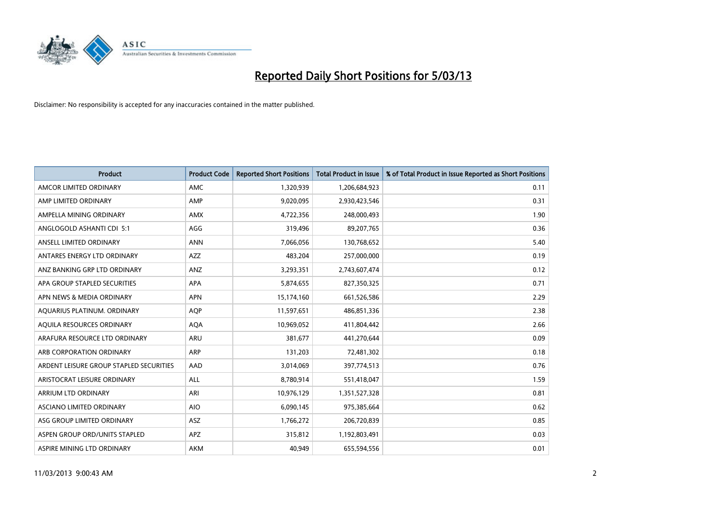

| <b>Product</b>                          | <b>Product Code</b> | <b>Reported Short Positions</b> | <b>Total Product in Issue</b> | % of Total Product in Issue Reported as Short Positions |
|-----------------------------------------|---------------------|---------------------------------|-------------------------------|---------------------------------------------------------|
| AMCOR LIMITED ORDINARY                  | AMC                 | 1,320,939                       | 1,206,684,923                 | 0.11                                                    |
| AMP LIMITED ORDINARY                    | AMP                 | 9,020,095                       | 2,930,423,546                 | 0.31                                                    |
| AMPELLA MINING ORDINARY                 | <b>AMX</b>          | 4,722,356                       | 248,000,493                   | 1.90                                                    |
| ANGLOGOLD ASHANTI CDI 5:1               | AGG                 | 319,496                         | 89,207,765                    | 0.36                                                    |
| ANSELL LIMITED ORDINARY                 | <b>ANN</b>          | 7,066,056                       | 130,768,652                   | 5.40                                                    |
| ANTARES ENERGY LTD ORDINARY             | <b>AZZ</b>          | 483,204                         | 257,000,000                   | 0.19                                                    |
| ANZ BANKING GRP LTD ORDINARY            | <b>ANZ</b>          | 3,293,351                       | 2,743,607,474                 | 0.12                                                    |
| APA GROUP STAPLED SECURITIES            | <b>APA</b>          | 5,874,655                       | 827,350,325                   | 0.71                                                    |
| APN NEWS & MEDIA ORDINARY               | <b>APN</b>          | 15,174,160                      | 661,526,586                   | 2.29                                                    |
| AQUARIUS PLATINUM. ORDINARY             | <b>AOP</b>          | 11,597,651                      | 486,851,336                   | 2.38                                                    |
| AQUILA RESOURCES ORDINARY               | <b>AQA</b>          | 10,969,052                      | 411,804,442                   | 2.66                                                    |
| ARAFURA RESOURCE LTD ORDINARY           | <b>ARU</b>          | 381,677                         | 441,270,644                   | 0.09                                                    |
| ARB CORPORATION ORDINARY                | <b>ARP</b>          | 131,203                         | 72,481,302                    | 0.18                                                    |
| ARDENT LEISURE GROUP STAPLED SECURITIES | AAD                 | 3,014,069                       | 397,774,513                   | 0.76                                                    |
| ARISTOCRAT LEISURE ORDINARY             | ALL                 | 8,780,914                       | 551,418,047                   | 1.59                                                    |
| ARRIUM LTD ORDINARY                     | ARI                 | 10,976,129                      | 1,351,527,328                 | 0.81                                                    |
| ASCIANO LIMITED ORDINARY                | <b>AIO</b>          | 6,090,145                       | 975,385,664                   | 0.62                                                    |
| ASG GROUP LIMITED ORDINARY              | <b>ASZ</b>          | 1,766,272                       | 206,720,839                   | 0.85                                                    |
| ASPEN GROUP ORD/UNITS STAPLED           | <b>APZ</b>          | 315,812                         | 1,192,803,491                 | 0.03                                                    |
| ASPIRE MINING LTD ORDINARY              | <b>AKM</b>          | 40,949                          | 655,594,556                   | 0.01                                                    |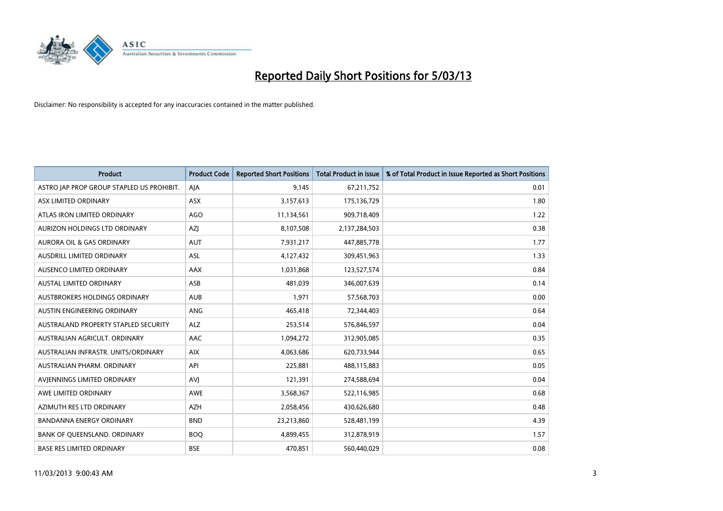

| <b>Product</b>                            | <b>Product Code</b> | <b>Reported Short Positions</b> | <b>Total Product in Issue</b> | % of Total Product in Issue Reported as Short Positions |
|-------------------------------------------|---------------------|---------------------------------|-------------------------------|---------------------------------------------------------|
| ASTRO JAP PROP GROUP STAPLED US PROHIBIT. | AJA                 | 9,145                           | 67,211,752                    | 0.01                                                    |
| ASX LIMITED ORDINARY                      | ASX                 | 3,157,613                       | 175,136,729                   | 1.80                                                    |
| ATLAS IRON LIMITED ORDINARY               | <b>AGO</b>          | 11,134,561                      | 909,718,409                   | 1.22                                                    |
| AURIZON HOLDINGS LTD ORDINARY             | <b>AZI</b>          | 8,107,508                       | 2,137,284,503                 | 0.38                                                    |
| <b>AURORA OIL &amp; GAS ORDINARY</b>      | <b>AUT</b>          | 7,931,217                       | 447,885,778                   | 1.77                                                    |
| <b>AUSDRILL LIMITED ORDINARY</b>          | <b>ASL</b>          | 4,127,432                       | 309,451,963                   | 1.33                                                    |
| AUSENCO LIMITED ORDINARY                  | AAX                 | 1,031,868                       | 123,527,574                   | 0.84                                                    |
| AUSTAL LIMITED ORDINARY                   | ASB                 | 481,039                         | 346,007,639                   | 0.14                                                    |
| AUSTBROKERS HOLDINGS ORDINARY             | <b>AUB</b>          | 1,971                           | 57,568,703                    | 0.00                                                    |
| AUSTIN ENGINEERING ORDINARY               | <b>ANG</b>          | 465,418                         | 72,344,403                    | 0.64                                                    |
| AUSTRALAND PROPERTY STAPLED SECURITY      | <b>ALZ</b>          | 253,514                         | 576,846,597                   | 0.04                                                    |
| AUSTRALIAN AGRICULT, ORDINARY             | AAC                 | 1,094,272                       | 312,905,085                   | 0.35                                                    |
| AUSTRALIAN INFRASTR, UNITS/ORDINARY       | <b>AIX</b>          | 4,063,686                       | 620,733,944                   | 0.65                                                    |
| AUSTRALIAN PHARM, ORDINARY                | API                 | 225,881                         | 488,115,883                   | 0.05                                                    |
| AVIENNINGS LIMITED ORDINARY               | <b>AVI</b>          | 121,391                         | 274,588,694                   | 0.04                                                    |
| AWE LIMITED ORDINARY                      | <b>AWE</b>          | 3,568,367                       | 522,116,985                   | 0.68                                                    |
| AZIMUTH RES LTD ORDINARY                  | <b>AZH</b>          | 2,058,456                       | 430,626,680                   | 0.48                                                    |
| BANDANNA ENERGY ORDINARY                  | <b>BND</b>          | 23,213,860                      | 528,481,199                   | 4.39                                                    |
| BANK OF QUEENSLAND. ORDINARY              | <b>BOQ</b>          | 4,899,455                       | 312,878,919                   | 1.57                                                    |
| <b>BASE RES LIMITED ORDINARY</b>          | <b>BSE</b>          | 470.851                         | 560,440,029                   | 0.08                                                    |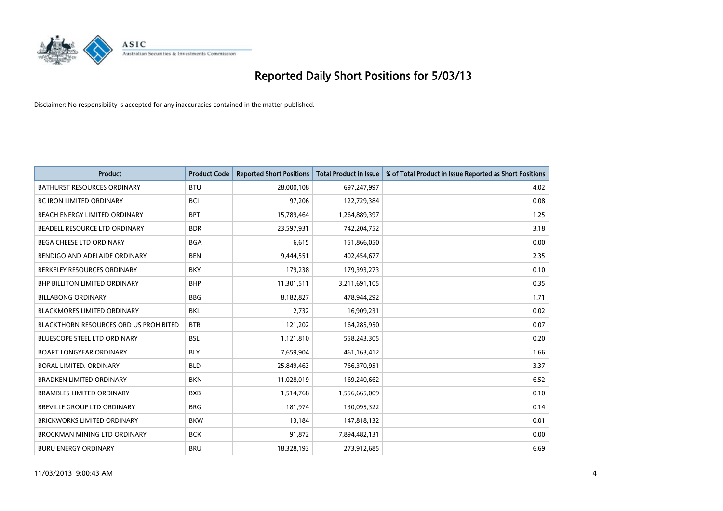

| <b>Product</b>                                | <b>Product Code</b> | <b>Reported Short Positions</b> | <b>Total Product in Issue</b> | % of Total Product in Issue Reported as Short Positions |
|-----------------------------------------------|---------------------|---------------------------------|-------------------------------|---------------------------------------------------------|
| <b>BATHURST RESOURCES ORDINARY</b>            | <b>BTU</b>          | 28,000,108                      | 697,247,997                   | 4.02                                                    |
| BC IRON LIMITED ORDINARY                      | <b>BCI</b>          | 97,206                          | 122,729,384                   | 0.08                                                    |
| <b>BEACH ENERGY LIMITED ORDINARY</b>          | <b>BPT</b>          | 15,789,464                      | 1,264,889,397                 | 1.25                                                    |
| BEADELL RESOURCE LTD ORDINARY                 | <b>BDR</b>          | 23,597,931                      | 742,204,752                   | 3.18                                                    |
| BEGA CHEESE LTD ORDINARY                      | <b>BGA</b>          | 6,615                           | 151,866,050                   | 0.00                                                    |
| BENDIGO AND ADELAIDE ORDINARY                 | <b>BEN</b>          | 9,444,551                       | 402,454,677                   | 2.35                                                    |
| BERKELEY RESOURCES ORDINARY                   | <b>BKY</b>          | 179,238                         | 179,393,273                   | 0.10                                                    |
| <b>BHP BILLITON LIMITED ORDINARY</b>          | <b>BHP</b>          | 11,301,511                      | 3,211,691,105                 | 0.35                                                    |
| <b>BILLABONG ORDINARY</b>                     | <b>BBG</b>          | 8,182,827                       | 478,944,292                   | 1.71                                                    |
| <b>BLACKMORES LIMITED ORDINARY</b>            | <b>BKL</b>          | 2,732                           | 16,909,231                    | 0.02                                                    |
| <b>BLACKTHORN RESOURCES ORD US PROHIBITED</b> | <b>BTR</b>          | 121,202                         | 164,285,950                   | 0.07                                                    |
| <b>BLUESCOPE STEEL LTD ORDINARY</b>           | <b>BSL</b>          | 1,121,810                       | 558,243,305                   | 0.20                                                    |
| <b>BOART LONGYEAR ORDINARY</b>                | <b>BLY</b>          | 7,659,904                       | 461,163,412                   | 1.66                                                    |
| BORAL LIMITED, ORDINARY                       | <b>BLD</b>          | 25,849,463                      | 766,370,951                   | 3.37                                                    |
| <b>BRADKEN LIMITED ORDINARY</b>               | <b>BKN</b>          | 11,028,019                      | 169,240,662                   | 6.52                                                    |
| <b>BRAMBLES LIMITED ORDINARY</b>              | <b>BXB</b>          | 1,514,768                       | 1,556,665,009                 | 0.10                                                    |
| <b>BREVILLE GROUP LTD ORDINARY</b>            | <b>BRG</b>          | 181,974                         | 130,095,322                   | 0.14                                                    |
| <b>BRICKWORKS LIMITED ORDINARY</b>            | <b>BKW</b>          | 13,184                          | 147,818,132                   | 0.01                                                    |
| <b>BROCKMAN MINING LTD ORDINARY</b>           | <b>BCK</b>          | 91,872                          | 7,894,482,131                 | 0.00                                                    |
| <b>BURU ENERGY ORDINARY</b>                   | <b>BRU</b>          | 18,328,193                      | 273,912,685                   | 6.69                                                    |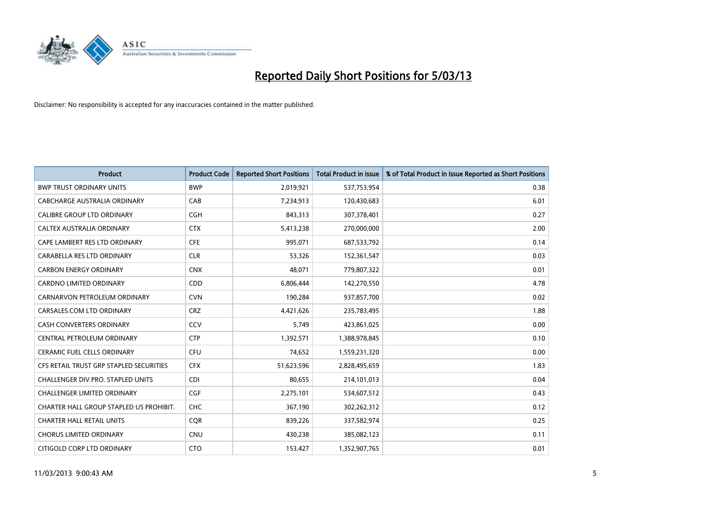

| <b>Product</b>                          | <b>Product Code</b> | <b>Reported Short Positions</b> | <b>Total Product in Issue</b> | % of Total Product in Issue Reported as Short Positions |
|-----------------------------------------|---------------------|---------------------------------|-------------------------------|---------------------------------------------------------|
| <b>BWP TRUST ORDINARY UNITS</b>         | <b>BWP</b>          | 2,019,921                       | 537,753,954                   | 0.38                                                    |
| CABCHARGE AUSTRALIA ORDINARY            | CAB                 | 7,234,913                       | 120,430,683                   | 6.01                                                    |
| <b>CALIBRE GROUP LTD ORDINARY</b>       | <b>CGH</b>          | 843,313                         | 307,378,401                   | 0.27                                                    |
| CALTEX AUSTRALIA ORDINARY               | <b>CTX</b>          | 5,413,238                       | 270,000,000                   | 2.00                                                    |
| CAPE LAMBERT RES LTD ORDINARY           | <b>CFE</b>          | 995,071                         | 687,533,792                   | 0.14                                                    |
| CARABELLA RES LTD ORDINARY              | <b>CLR</b>          | 53,326                          | 152,361,547                   | 0.03                                                    |
| <b>CARBON ENERGY ORDINARY</b>           | <b>CNX</b>          | 48.071                          | 779,807,322                   | 0.01                                                    |
| CARDNO LIMITED ORDINARY                 | <b>CDD</b>          | 6,806,444                       | 142,270,550                   | 4.78                                                    |
| CARNARVON PETROLEUM ORDINARY            | <b>CVN</b>          | 190,284                         | 937,857,700                   | 0.02                                                    |
| CARSALES.COM LTD ORDINARY               | <b>CRZ</b>          | 4,421,626                       | 235,783,495                   | 1.88                                                    |
| CASH CONVERTERS ORDINARY                | CCV                 | 5,749                           | 423,861,025                   | 0.00                                                    |
| CENTRAL PETROLEUM ORDINARY              | <b>CTP</b>          | 1,392,571                       | 1,388,978,845                 | 0.10                                                    |
| CERAMIC FUEL CELLS ORDINARY             | CFU                 | 74,652                          | 1,559,231,320                 | 0.00                                                    |
| CFS RETAIL TRUST GRP STAPLED SECURITIES | <b>CFX</b>          | 51,623,596                      | 2,828,495,659                 | 1.83                                                    |
| CHALLENGER DIV.PRO. STAPLED UNITS       | <b>CDI</b>          | 80,655                          | 214,101,013                   | 0.04                                                    |
| CHALLENGER LIMITED ORDINARY             | <b>CGF</b>          | 2,275,101                       | 534,607,512                   | 0.43                                                    |
| CHARTER HALL GROUP STAPLED US PROHIBIT. | <b>CHC</b>          | 367,190                         | 302,262,312                   | 0.12                                                    |
| <b>CHARTER HALL RETAIL UNITS</b>        | <b>CQR</b>          | 839,226                         | 337,582,974                   | 0.25                                                    |
| <b>CHORUS LIMITED ORDINARY</b>          | <b>CNU</b>          | 430,238                         | 385,082,123                   | 0.11                                                    |
| CITIGOLD CORP LTD ORDINARY              | <b>CTO</b>          | 153,427                         | 1,352,907,765                 | 0.01                                                    |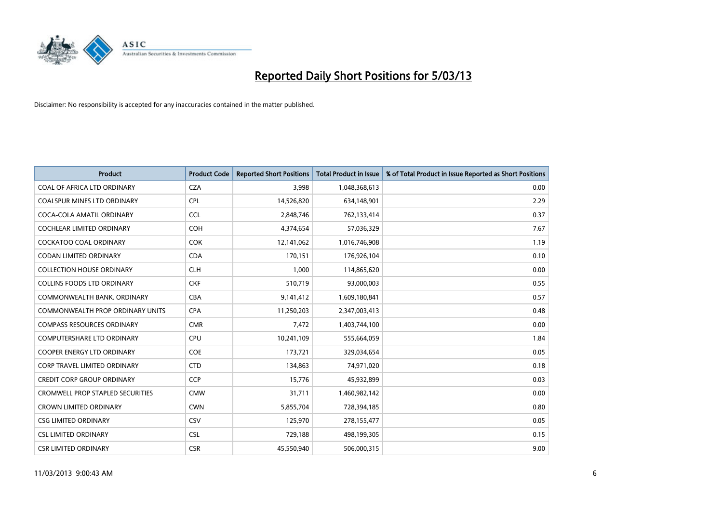

| <b>Product</b>                          | <b>Product Code</b> | <b>Reported Short Positions</b> | Total Product in Issue | % of Total Product in Issue Reported as Short Positions |
|-----------------------------------------|---------------------|---------------------------------|------------------------|---------------------------------------------------------|
| COAL OF AFRICA LTD ORDINARY             | <b>CZA</b>          | 3,998                           | 1,048,368,613          | 0.00                                                    |
| COALSPUR MINES LTD ORDINARY             | <b>CPL</b>          | 14,526,820                      | 634,148,901            | 2.29                                                    |
| COCA-COLA AMATIL ORDINARY               | <b>CCL</b>          | 2,848,746                       | 762,133,414            | 0.37                                                    |
| COCHLEAR LIMITED ORDINARY               | <b>COH</b>          | 4,374,654                       | 57,036,329             | 7.67                                                    |
| <b>COCKATOO COAL ORDINARY</b>           | <b>COK</b>          | 12,141,062                      | 1,016,746,908          | 1.19                                                    |
| <b>CODAN LIMITED ORDINARY</b>           | <b>CDA</b>          | 170,151                         | 176,926,104            | 0.10                                                    |
| <b>COLLECTION HOUSE ORDINARY</b>        | <b>CLH</b>          | 1.000                           | 114,865,620            | 0.00                                                    |
| <b>COLLINS FOODS LTD ORDINARY</b>       | <b>CKF</b>          | 510,719                         | 93,000,003             | 0.55                                                    |
| COMMONWEALTH BANK, ORDINARY             | <b>CBA</b>          | 9,141,412                       | 1,609,180,841          | 0.57                                                    |
| <b>COMMONWEALTH PROP ORDINARY UNITS</b> | <b>CPA</b>          | 11,250,203                      | 2,347,003,413          | 0.48                                                    |
| <b>COMPASS RESOURCES ORDINARY</b>       | <b>CMR</b>          | 7,472                           | 1,403,744,100          | 0.00                                                    |
| <b>COMPUTERSHARE LTD ORDINARY</b>       | <b>CPU</b>          | 10,241,109                      | 555,664,059            | 1.84                                                    |
| COOPER ENERGY LTD ORDINARY              | <b>COE</b>          | 173,721                         | 329,034,654            | 0.05                                                    |
| <b>CORP TRAVEL LIMITED ORDINARY</b>     | <b>CTD</b>          | 134,863                         | 74,971,020             | 0.18                                                    |
| <b>CREDIT CORP GROUP ORDINARY</b>       | <b>CCP</b>          | 15,776                          | 45,932,899             | 0.03                                                    |
| <b>CROMWELL PROP STAPLED SECURITIES</b> | <b>CMW</b>          | 31,711                          | 1,460,982,142          | 0.00                                                    |
| <b>CROWN LIMITED ORDINARY</b>           | <b>CWN</b>          | 5,855,704                       | 728,394,185            | 0.80                                                    |
| <b>CSG LIMITED ORDINARY</b>             | CSV                 | 125,970                         | 278,155,477            | 0.05                                                    |
| <b>CSL LIMITED ORDINARY</b>             | <b>CSL</b>          | 729,188                         | 498,199,305            | 0.15                                                    |
| <b>CSR LIMITED ORDINARY</b>             | <b>CSR</b>          | 45.550.940                      | 506,000,315            | 9.00                                                    |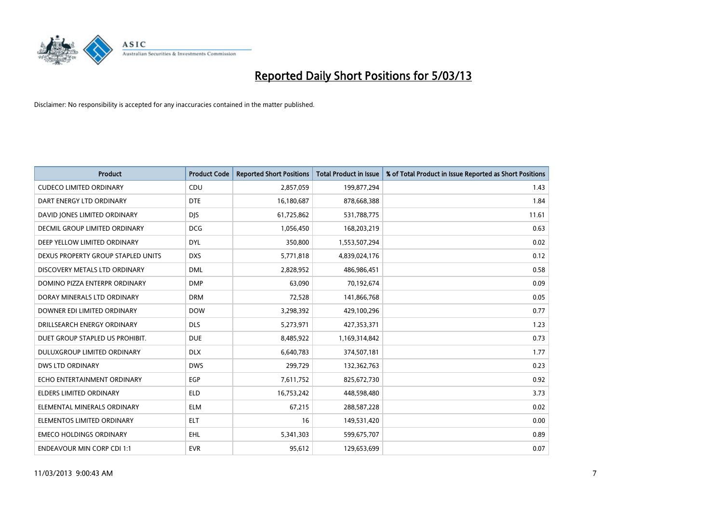

| <b>Product</b>                     | <b>Product Code</b> | <b>Reported Short Positions</b> | <b>Total Product in Issue</b> | % of Total Product in Issue Reported as Short Positions |
|------------------------------------|---------------------|---------------------------------|-------------------------------|---------------------------------------------------------|
| <b>CUDECO LIMITED ORDINARY</b>     | <b>CDU</b>          | 2,857,059                       | 199,877,294                   | 1.43                                                    |
| DART ENERGY LTD ORDINARY           | <b>DTE</b>          | 16,180,687                      | 878,668,388                   | 1.84                                                    |
| DAVID JONES LIMITED ORDINARY       | <b>DIS</b>          | 61,725,862                      | 531,788,775                   | 11.61                                                   |
| DECMIL GROUP LIMITED ORDINARY      | <b>DCG</b>          | 1,056,450                       | 168,203,219                   | 0.63                                                    |
| DEEP YELLOW LIMITED ORDINARY       | <b>DYL</b>          | 350,800                         | 1,553,507,294                 | 0.02                                                    |
| DEXUS PROPERTY GROUP STAPLED UNITS | <b>DXS</b>          | 5,771,818                       | 4,839,024,176                 | 0.12                                                    |
| DISCOVERY METALS LTD ORDINARY      | <b>DML</b>          | 2,828,952                       | 486,986,451                   | 0.58                                                    |
| DOMINO PIZZA ENTERPR ORDINARY      | <b>DMP</b>          | 63,090                          | 70,192,674                    | 0.09                                                    |
| DORAY MINERALS LTD ORDINARY        | <b>DRM</b>          | 72,528                          | 141,866,768                   | 0.05                                                    |
| DOWNER EDI LIMITED ORDINARY        | <b>DOW</b>          | 3,298,392                       | 429,100,296                   | 0.77                                                    |
| DRILLSEARCH ENERGY ORDINARY        | <b>DLS</b>          | 5,273,971                       | 427,353,371                   | 1.23                                                    |
| DUET GROUP STAPLED US PROHIBIT.    | <b>DUE</b>          | 8,485,922                       | 1,169,314,842                 | 0.73                                                    |
| DULUXGROUP LIMITED ORDINARY        | <b>DLX</b>          | 6,640,783                       | 374,507,181                   | 1.77                                                    |
| <b>DWS LTD ORDINARY</b>            | <b>DWS</b>          | 299,729                         | 132,362,763                   | 0.23                                                    |
| ECHO ENTERTAINMENT ORDINARY        | EGP                 | 7,611,752                       | 825,672,730                   | 0.92                                                    |
| ELDERS LIMITED ORDINARY            | <b>ELD</b>          | 16,753,242                      | 448,598,480                   | 3.73                                                    |
| ELEMENTAL MINERALS ORDINARY        | <b>ELM</b>          | 67,215                          | 288,587,228                   | 0.02                                                    |
| ELEMENTOS LIMITED ORDINARY         | <b>ELT</b>          | 16                              | 149,531,420                   | 0.00                                                    |
| <b>EMECO HOLDINGS ORDINARY</b>     | <b>EHL</b>          | 5,341,303                       | 599,675,707                   | 0.89                                                    |
| <b>ENDEAVOUR MIN CORP CDI 1:1</b>  | <b>EVR</b>          | 95,612                          | 129,653,699                   | 0.07                                                    |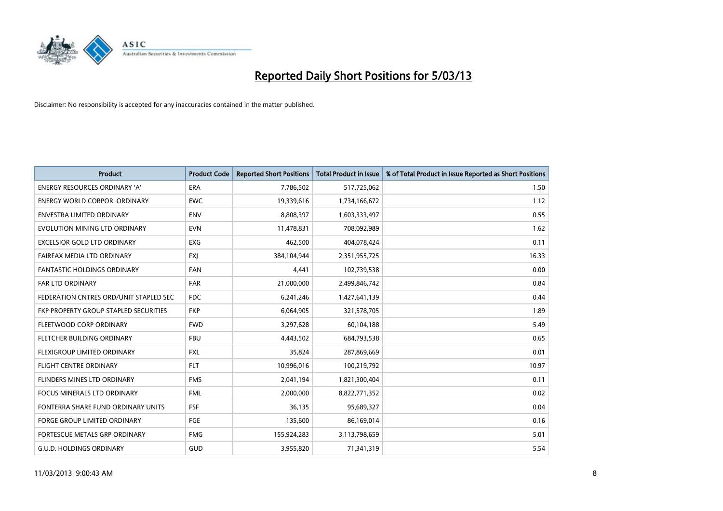

| <b>Product</b>                               | <b>Product Code</b> | <b>Reported Short Positions</b> | <b>Total Product in Issue</b> | % of Total Product in Issue Reported as Short Positions |
|----------------------------------------------|---------------------|---------------------------------|-------------------------------|---------------------------------------------------------|
| <b>ENERGY RESOURCES ORDINARY 'A'</b>         | <b>ERA</b>          | 7,786,502                       | 517,725,062                   | 1.50                                                    |
| <b>ENERGY WORLD CORPOR. ORDINARY</b>         | <b>EWC</b>          | 19,339,616                      | 1,734,166,672                 | 1.12                                                    |
| <b>ENVESTRA LIMITED ORDINARY</b>             | <b>ENV</b>          | 8,808,397                       | 1,603,333,497                 | 0.55                                                    |
| EVOLUTION MINING LTD ORDINARY                | <b>EVN</b>          | 11,478,831                      | 708,092,989                   | 1.62                                                    |
| <b>EXCELSIOR GOLD LTD ORDINARY</b>           | <b>EXG</b>          | 462,500                         | 404,078,424                   | 0.11                                                    |
| FAIRFAX MEDIA LTD ORDINARY                   | <b>FXI</b>          | 384,104,944                     | 2,351,955,725                 | 16.33                                                   |
| <b>FANTASTIC HOLDINGS ORDINARY</b>           | <b>FAN</b>          | 4,441                           | 102,739,538                   | 0.00                                                    |
| FAR LTD ORDINARY                             | FAR                 | 21,000,000                      | 2,499,846,742                 | 0.84                                                    |
| FEDERATION CNTRES ORD/UNIT STAPLED SEC       | <b>FDC</b>          | 6,241,246                       | 1,427,641,139                 | 0.44                                                    |
| <b>FKP PROPERTY GROUP STAPLED SECURITIES</b> | <b>FKP</b>          | 6,064,905                       | 321,578,705                   | 1.89                                                    |
| FLEETWOOD CORP ORDINARY                      | <b>FWD</b>          | 3,297,628                       | 60,104,188                    | 5.49                                                    |
| FLETCHER BUILDING ORDINARY                   | <b>FBU</b>          | 4,443,502                       | 684,793,538                   | 0.65                                                    |
| <b>FLEXIGROUP LIMITED ORDINARY</b>           | <b>FXL</b>          | 35,824                          | 287,869,669                   | 0.01                                                    |
| <b>FLIGHT CENTRE ORDINARY</b>                | <b>FLT</b>          | 10,996,016                      | 100,219,792                   | 10.97                                                   |
| FLINDERS MINES LTD ORDINARY                  | <b>FMS</b>          | 2,041,194                       | 1,821,300,404                 | 0.11                                                    |
| FOCUS MINERALS LTD ORDINARY                  | <b>FML</b>          | 2,000,000                       | 8,822,771,352                 | 0.02                                                    |
| FONTERRA SHARE FUND ORDINARY UNITS           | FSF                 | 36,135                          | 95,689,327                    | 0.04                                                    |
| <b>FORGE GROUP LIMITED ORDINARY</b>          | FGE                 | 135,600                         | 86,169,014                    | 0.16                                                    |
| FORTESCUE METALS GRP ORDINARY                | <b>FMG</b>          | 155,924,283                     | 3,113,798,659                 | 5.01                                                    |
| <b>G.U.D. HOLDINGS ORDINARY</b>              | GUD                 | 3,955,820                       | 71,341,319                    | 5.54                                                    |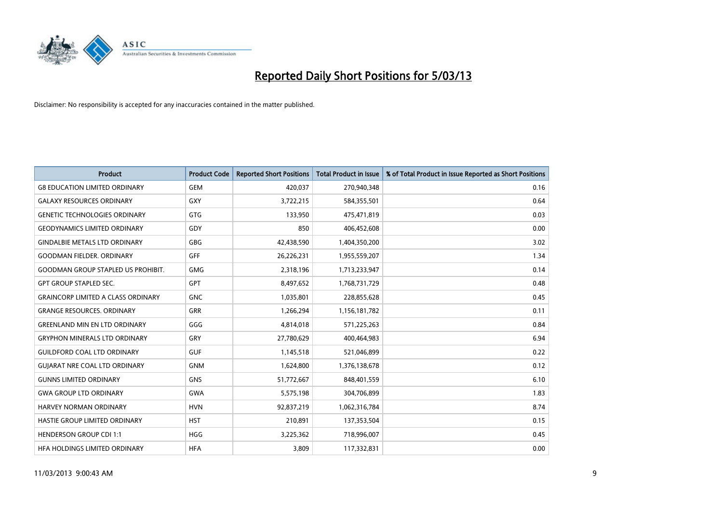

| <b>Product</b>                            | <b>Product Code</b> | <b>Reported Short Positions</b> | <b>Total Product in Issue</b> | % of Total Product in Issue Reported as Short Positions |
|-------------------------------------------|---------------------|---------------------------------|-------------------------------|---------------------------------------------------------|
| <b>G8 EDUCATION LIMITED ORDINARY</b>      | GEM                 | 420,037                         | 270,940,348                   | 0.16                                                    |
| <b>GALAXY RESOURCES ORDINARY</b>          | GXY                 | 3,722,215                       | 584,355,501                   | 0.64                                                    |
| <b>GENETIC TECHNOLOGIES ORDINARY</b>      | <b>GTG</b>          | 133,950                         | 475,471,819                   | 0.03                                                    |
| <b>GEODYNAMICS LIMITED ORDINARY</b>       | GDY                 | 850                             | 406,452,608                   | 0.00                                                    |
| <b>GINDALBIE METALS LTD ORDINARY</b>      | <b>GBG</b>          | 42,438,590                      | 1,404,350,200                 | 3.02                                                    |
| <b>GOODMAN FIELDER, ORDINARY</b>          | GFF                 | 26,226,231                      | 1,955,559,207                 | 1.34                                                    |
| <b>GOODMAN GROUP STAPLED US PROHIBIT.</b> | <b>GMG</b>          | 2,318,196                       | 1,713,233,947                 | 0.14                                                    |
| <b>GPT GROUP STAPLED SEC.</b>             | <b>GPT</b>          | 8,497,652                       | 1,768,731,729                 | 0.48                                                    |
| <b>GRAINCORP LIMITED A CLASS ORDINARY</b> | <b>GNC</b>          | 1,035,801                       | 228,855,628                   | 0.45                                                    |
| <b>GRANGE RESOURCES, ORDINARY</b>         | <b>GRR</b>          | 1,266,294                       | 1,156,181,782                 | 0.11                                                    |
| <b>GREENLAND MIN EN LTD ORDINARY</b>      | GGG                 | 4,814,018                       | 571,225,263                   | 0.84                                                    |
| <b>GRYPHON MINERALS LTD ORDINARY</b>      | GRY                 | 27,780,629                      | 400,464,983                   | 6.94                                                    |
| <b>GUILDFORD COAL LTD ORDINARY</b>        | <b>GUF</b>          | 1,145,518                       | 521,046,899                   | 0.22                                                    |
| <b>GUIARAT NRE COAL LTD ORDINARY</b>      | <b>GNM</b>          | 1,624,800                       | 1,376,138,678                 | 0.12                                                    |
| <b>GUNNS LIMITED ORDINARY</b>             | <b>GNS</b>          | 51,772,667                      | 848,401,559                   | 6.10                                                    |
| <b>GWA GROUP LTD ORDINARY</b>             | <b>GWA</b>          | 5,575,198                       | 304,706,899                   | 1.83                                                    |
| <b>HARVEY NORMAN ORDINARY</b>             | <b>HVN</b>          | 92,837,219                      | 1,062,316,784                 | 8.74                                                    |
| <b>HASTIE GROUP LIMITED ORDINARY</b>      | <b>HST</b>          | 210,891                         | 137,353,504                   | 0.15                                                    |
| <b>HENDERSON GROUP CDI 1:1</b>            | <b>HGG</b>          | 3,225,362                       | 718,996,007                   | 0.45                                                    |
| HEA HOLDINGS LIMITED ORDINARY             | <b>HFA</b>          | 3.809                           | 117,332,831                   | 0.00                                                    |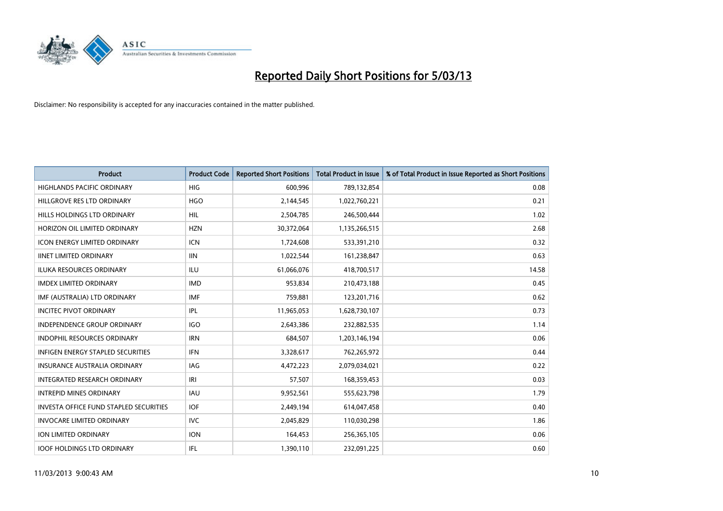

| <b>Product</b>                           | <b>Product Code</b> | <b>Reported Short Positions</b> | <b>Total Product in Issue</b> | % of Total Product in Issue Reported as Short Positions |
|------------------------------------------|---------------------|---------------------------------|-------------------------------|---------------------------------------------------------|
| <b>HIGHLANDS PACIFIC ORDINARY</b>        | <b>HIG</b>          | 600,996                         | 789,132,854                   | 0.08                                                    |
| HILLGROVE RES LTD ORDINARY               | <b>HGO</b>          | 2,144,545                       | 1,022,760,221                 | 0.21                                                    |
| HILLS HOLDINGS LTD ORDINARY              | <b>HIL</b>          | 2,504,785                       | 246,500,444                   | 1.02                                                    |
| HORIZON OIL LIMITED ORDINARY             | <b>HZN</b>          | 30,372,064                      | 1,135,266,515                 | 2.68                                                    |
| <b>ICON ENERGY LIMITED ORDINARY</b>      | <b>ICN</b>          | 1,724,608                       | 533,391,210                   | 0.32                                                    |
| <b>IINET LIMITED ORDINARY</b>            | <b>IIN</b>          | 1,022,544                       | 161,238,847                   | 0.63                                                    |
| <b>ILUKA RESOURCES ORDINARY</b>          | ILU                 | 61,066,076                      | 418,700,517                   | 14.58                                                   |
| <b>IMDEX LIMITED ORDINARY</b>            | <b>IMD</b>          | 953,834                         | 210,473,188                   | 0.45                                                    |
| IMF (AUSTRALIA) LTD ORDINARY             | <b>IMF</b>          | 759,881                         | 123,201,716                   | 0.62                                                    |
| <b>INCITEC PIVOT ORDINARY</b>            | IPL                 | 11,965,053                      | 1,628,730,107                 | 0.73                                                    |
| <b>INDEPENDENCE GROUP ORDINARY</b>       | <b>IGO</b>          | 2,643,386                       | 232,882,535                   | 1.14                                                    |
| <b>INDOPHIL RESOURCES ORDINARY</b>       | <b>IRN</b>          | 684,507                         | 1,203,146,194                 | 0.06                                                    |
| <b>INFIGEN ENERGY STAPLED SECURITIES</b> | <b>IFN</b>          | 3,328,617                       | 762,265,972                   | 0.44                                                    |
| <b>INSURANCE AUSTRALIA ORDINARY</b>      | IAG                 | 4,472,223                       | 2,079,034,021                 | 0.22                                                    |
| <b>INTEGRATED RESEARCH ORDINARY</b>      | IRI                 | 57,507                          | 168,359,453                   | 0.03                                                    |
| <b>INTREPID MINES ORDINARY</b>           | <b>IAU</b>          | 9,952,561                       | 555,623,798                   | 1.79                                                    |
| INVESTA OFFICE FUND STAPLED SECURITIES   | <b>IOF</b>          | 2,449,194                       | 614,047,458                   | 0.40                                                    |
| <b>INVOCARE LIMITED ORDINARY</b>         | IVC                 | 2,045,829                       | 110,030,298                   | 1.86                                                    |
| <b>ION LIMITED ORDINARY</b>              | <b>ION</b>          | 164,453                         | 256,365,105                   | 0.06                                                    |
| <b>IOOF HOLDINGS LTD ORDINARY</b>        | <b>IFL</b>          | 1,390,110                       | 232,091,225                   | 0.60                                                    |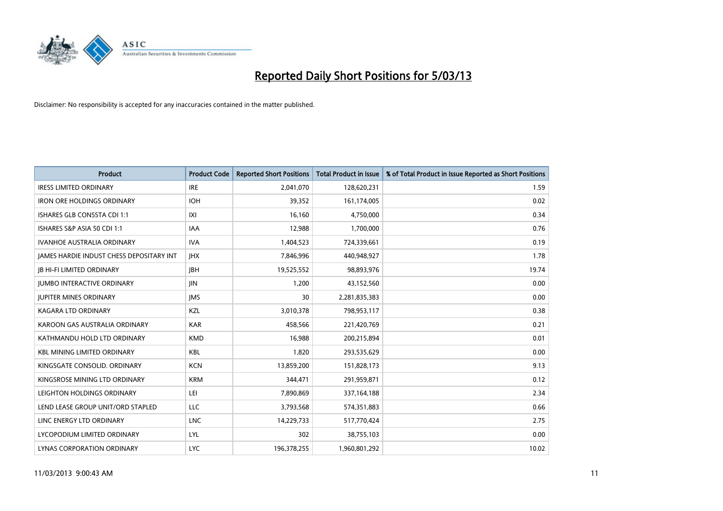

| <b>Product</b>                                  | <b>Product Code</b> | <b>Reported Short Positions</b> | <b>Total Product in Issue</b> | % of Total Product in Issue Reported as Short Positions |
|-------------------------------------------------|---------------------|---------------------------------|-------------------------------|---------------------------------------------------------|
| <b>IRESS LIMITED ORDINARY</b>                   | <b>IRE</b>          | 2,041,070                       | 128,620,231                   | 1.59                                                    |
| <b>IRON ORE HOLDINGS ORDINARY</b>               | <b>IOH</b>          | 39,352                          | 161,174,005                   | 0.02                                                    |
| ISHARES GLB CONSSTA CDI 1:1                     | X                   | 16,160                          | 4,750,000                     | 0.34                                                    |
| ISHARES S&P ASIA 50 CDI 1:1                     | <b>IAA</b>          | 12,988                          | 1,700,000                     | 0.76                                                    |
| <b>IVANHOE AUSTRALIA ORDINARY</b>               | <b>IVA</b>          | 1,404,523                       | 724,339,661                   | 0.19                                                    |
| <b>JAMES HARDIE INDUST CHESS DEPOSITARY INT</b> | <b>IHX</b>          | 7,846,996                       | 440,948,927                   | 1.78                                                    |
| <b>IB HI-FI LIMITED ORDINARY</b>                | <b>IBH</b>          | 19,525,552                      | 98,893,976                    | 19.74                                                   |
| <b>JUMBO INTERACTIVE ORDINARY</b>               | <b>IIN</b>          | 1,200                           | 43,152,560                    | 0.00                                                    |
| <b>JUPITER MINES ORDINARY</b>                   | <b>IMS</b>          | 30                              | 2,281,835,383                 | 0.00                                                    |
| <b>KAGARA LTD ORDINARY</b>                      | KZL                 | 3,010,378                       | 798,953,117                   | 0.38                                                    |
| KAROON GAS AUSTRALIA ORDINARY                   | <b>KAR</b>          | 458,566                         | 221,420,769                   | 0.21                                                    |
| KATHMANDU HOLD LTD ORDINARY                     | <b>KMD</b>          | 16,988                          | 200,215,894                   | 0.01                                                    |
| <b>KBL MINING LIMITED ORDINARY</b>              | <b>KBL</b>          | 1.820                           | 293,535,629                   | 0.00                                                    |
| KINGSGATE CONSOLID. ORDINARY                    | <b>KCN</b>          | 13,859,200                      | 151,828,173                   | 9.13                                                    |
| KINGSROSE MINING LTD ORDINARY                   | <b>KRM</b>          | 344,471                         | 291,959,871                   | 0.12                                                    |
| LEIGHTON HOLDINGS ORDINARY                      | LEI                 | 7,890,869                       | 337, 164, 188                 | 2.34                                                    |
| LEND LEASE GROUP UNIT/ORD STAPLED               | <b>LLC</b>          | 3,793,568                       | 574,351,883                   | 0.66                                                    |
| LINC ENERGY LTD ORDINARY                        | <b>LNC</b>          | 14,229,733                      | 517,770,424                   | 2.75                                                    |
| LYCOPODIUM LIMITED ORDINARY                     | LYL                 | 302                             | 38,755,103                    | 0.00                                                    |
| LYNAS CORPORATION ORDINARY                      | <b>LYC</b>          | 196,378,255                     | 1,960,801,292                 | 10.02                                                   |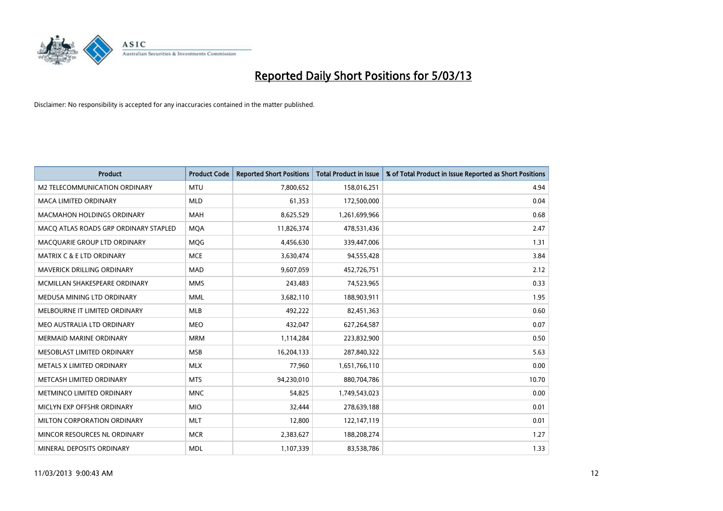

| <b>Product</b>                        | <b>Product Code</b> | <b>Reported Short Positions</b> | <b>Total Product in Issue</b> | % of Total Product in Issue Reported as Short Positions |
|---------------------------------------|---------------------|---------------------------------|-------------------------------|---------------------------------------------------------|
| M2 TELECOMMUNICATION ORDINARY         | <b>MTU</b>          | 7,800,652                       | 158,016,251                   | 4.94                                                    |
| <b>MACA LIMITED ORDINARY</b>          | <b>MLD</b>          | 61,353                          | 172,500,000                   | 0.04                                                    |
| <b>MACMAHON HOLDINGS ORDINARY</b>     | <b>MAH</b>          | 8,625,529                       | 1,261,699,966                 | 0.68                                                    |
| MACO ATLAS ROADS GRP ORDINARY STAPLED | <b>MOA</b>          | 11,826,374                      | 478,531,436                   | 2.47                                                    |
| MACQUARIE GROUP LTD ORDINARY          | <b>MOG</b>          | 4,456,630                       | 339,447,006                   | 1.31                                                    |
| <b>MATRIX C &amp; E LTD ORDINARY</b>  | <b>MCE</b>          | 3,630,474                       | 94,555,428                    | 3.84                                                    |
| MAVERICK DRILLING ORDINARY            | <b>MAD</b>          | 9,607,059                       | 452,726,751                   | 2.12                                                    |
| MCMILLAN SHAKESPEARE ORDINARY         | <b>MMS</b>          | 243,483                         | 74,523,965                    | 0.33                                                    |
| MEDUSA MINING LTD ORDINARY            | <b>MML</b>          | 3,682,110                       | 188,903,911                   | 1.95                                                    |
| MELBOURNE IT LIMITED ORDINARY         | <b>MLB</b>          | 492,222                         | 82,451,363                    | 0.60                                                    |
| MEO AUSTRALIA LTD ORDINARY            | <b>MEO</b>          | 432,047                         | 627,264,587                   | 0.07                                                    |
| <b>MERMAID MARINE ORDINARY</b>        | <b>MRM</b>          | 1,114,284                       | 223,832,900                   | 0.50                                                    |
| MESOBLAST LIMITED ORDINARY            | <b>MSB</b>          | 16,204,133                      | 287,840,322                   | 5.63                                                    |
| METALS X LIMITED ORDINARY             | <b>MLX</b>          | 77,960                          | 1,651,766,110                 | 0.00                                                    |
| METCASH LIMITED ORDINARY              | <b>MTS</b>          | 94,230,010                      | 880,704,786                   | 10.70                                                   |
| METMINCO LIMITED ORDINARY             | <b>MNC</b>          | 54,825                          | 1,749,543,023                 | 0.00                                                    |
| MICLYN EXP OFFSHR ORDINARY            | <b>MIO</b>          | 32,444                          | 278,639,188                   | 0.01                                                    |
| MILTON CORPORATION ORDINARY           | <b>MLT</b>          | 12,800                          | 122,147,119                   | 0.01                                                    |
| MINCOR RESOURCES NL ORDINARY          | <b>MCR</b>          | 2,383,627                       | 188,208,274                   | 1.27                                                    |
| MINERAL DEPOSITS ORDINARY             | <b>MDL</b>          | 1,107,339                       | 83,538,786                    | 1.33                                                    |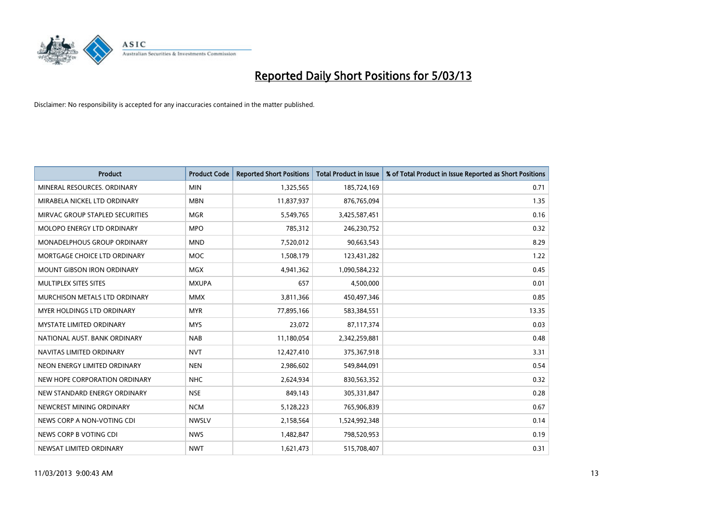

| <b>Product</b>                    | <b>Product Code</b> | <b>Reported Short Positions</b> | <b>Total Product in Issue</b> | % of Total Product in Issue Reported as Short Positions |
|-----------------------------------|---------------------|---------------------------------|-------------------------------|---------------------------------------------------------|
| MINERAL RESOURCES, ORDINARY       | <b>MIN</b>          | 1,325,565                       | 185,724,169                   | 0.71                                                    |
| MIRABELA NICKEL LTD ORDINARY      | <b>MBN</b>          | 11,837,937                      | 876,765,094                   | 1.35                                                    |
| MIRVAC GROUP STAPLED SECURITIES   | <b>MGR</b>          | 5,549,765                       | 3,425,587,451                 | 0.16                                                    |
| MOLOPO ENERGY LTD ORDINARY        | <b>MPO</b>          | 785,312                         | 246,230,752                   | 0.32                                                    |
| MONADELPHOUS GROUP ORDINARY       | <b>MND</b>          | 7,520,012                       | 90,663,543                    | 8.29                                                    |
| MORTGAGE CHOICE LTD ORDINARY      | <b>MOC</b>          | 1,508,179                       | 123,431,282                   | 1.22                                                    |
| <b>MOUNT GIBSON IRON ORDINARY</b> | <b>MGX</b>          | 4,941,362                       | 1,090,584,232                 | 0.45                                                    |
| MULTIPLEX SITES SITES             | <b>MXUPA</b>        | 657                             | 4,500,000                     | 0.01                                                    |
| MURCHISON METALS LTD ORDINARY     | <b>MMX</b>          | 3,811,366                       | 450,497,346                   | 0.85                                                    |
| <b>MYER HOLDINGS LTD ORDINARY</b> | <b>MYR</b>          | 77,895,166                      | 583,384,551                   | 13.35                                                   |
| MYSTATE LIMITED ORDINARY          | <b>MYS</b>          | 23,072                          | 87,117,374                    | 0.03                                                    |
| NATIONAL AUST. BANK ORDINARY      | <b>NAB</b>          | 11,180,054                      | 2,342,259,881                 | 0.48                                                    |
| NAVITAS LIMITED ORDINARY          | <b>NVT</b>          | 12,427,410                      | 375,367,918                   | 3.31                                                    |
| NEON ENERGY LIMITED ORDINARY      | <b>NEN</b>          | 2,986,602                       | 549,844,091                   | 0.54                                                    |
| NEW HOPE CORPORATION ORDINARY     | <b>NHC</b>          | 2,624,934                       | 830,563,352                   | 0.32                                                    |
| NEW STANDARD ENERGY ORDINARY      | <b>NSE</b>          | 849,143                         | 305,331,847                   | 0.28                                                    |
| NEWCREST MINING ORDINARY          | <b>NCM</b>          | 5,128,223                       | 765,906,839                   | 0.67                                                    |
| NEWS CORP A NON-VOTING CDI        | <b>NWSLV</b>        | 2,158,564                       | 1,524,992,348                 | 0.14                                                    |
| NEWS CORP B VOTING CDI            | <b>NWS</b>          | 1,482,847                       | 798,520,953                   | 0.19                                                    |
| NEWSAT LIMITED ORDINARY           | <b>NWT</b>          | 1,621,473                       | 515,708,407                   | 0.31                                                    |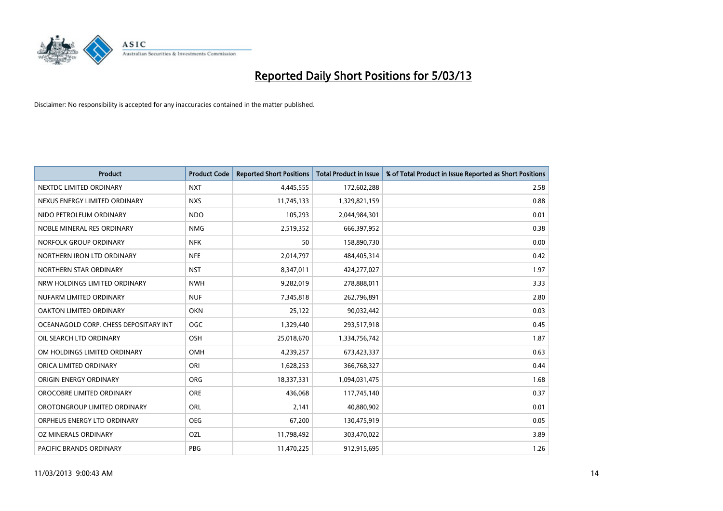

| <b>Product</b>                        | <b>Product Code</b> | <b>Reported Short Positions</b> | <b>Total Product in Issue</b> | % of Total Product in Issue Reported as Short Positions |
|---------------------------------------|---------------------|---------------------------------|-------------------------------|---------------------------------------------------------|
| NEXTDC LIMITED ORDINARY               | <b>NXT</b>          | 4,445,555                       | 172,602,288                   | 2.58                                                    |
| NEXUS ENERGY LIMITED ORDINARY         | <b>NXS</b>          | 11,745,133                      | 1,329,821,159                 | 0.88                                                    |
| NIDO PETROLEUM ORDINARY               | <b>NDO</b>          | 105,293                         | 2,044,984,301                 | 0.01                                                    |
| NOBLE MINERAL RES ORDINARY            | <b>NMG</b>          | 2,519,352                       | 666,397,952                   | 0.38                                                    |
| NORFOLK GROUP ORDINARY                | <b>NFK</b>          | 50                              | 158,890,730                   | 0.00                                                    |
| NORTHERN IRON LTD ORDINARY            | <b>NFE</b>          | 2,014,797                       | 484,405,314                   | 0.42                                                    |
| NORTHERN STAR ORDINARY                | <b>NST</b>          | 8,347,011                       | 424,277,027                   | 1.97                                                    |
| NRW HOLDINGS LIMITED ORDINARY         | <b>NWH</b>          | 9,282,019                       | 278,888,011                   | 3.33                                                    |
| NUFARM LIMITED ORDINARY               | <b>NUF</b>          | 7,345,818                       | 262,796,891                   | 2.80                                                    |
| <b>OAKTON LIMITED ORDINARY</b>        | <b>OKN</b>          | 25,122                          | 90,032,442                    | 0.03                                                    |
| OCEANAGOLD CORP. CHESS DEPOSITARY INT | <b>OGC</b>          | 1,329,440                       | 293,517,918                   | 0.45                                                    |
| OIL SEARCH LTD ORDINARY               | OSH                 | 25,018,670                      | 1,334,756,742                 | 1.87                                                    |
| OM HOLDINGS LIMITED ORDINARY          | OMH                 | 4,239,257                       | 673,423,337                   | 0.63                                                    |
| ORICA LIMITED ORDINARY                | ORI                 | 1,628,253                       | 366,768,327                   | 0.44                                                    |
| ORIGIN ENERGY ORDINARY                | <b>ORG</b>          | 18,337,331                      | 1,094,031,475                 | 1.68                                                    |
| OROCOBRE LIMITED ORDINARY             | <b>ORE</b>          | 436,068                         | 117,745,140                   | 0.37                                                    |
| OROTONGROUP LIMITED ORDINARY          | ORL                 | 2,141                           | 40,880,902                    | 0.01                                                    |
| ORPHEUS ENERGY LTD ORDINARY           | <b>OEG</b>          | 67,200                          | 130,475,919                   | 0.05                                                    |
| OZ MINERALS ORDINARY                  | OZL                 | 11,798,492                      | 303,470,022                   | 3.89                                                    |
| <b>PACIFIC BRANDS ORDINARY</b>        | <b>PBG</b>          | 11,470,225                      | 912,915,695                   | 1.26                                                    |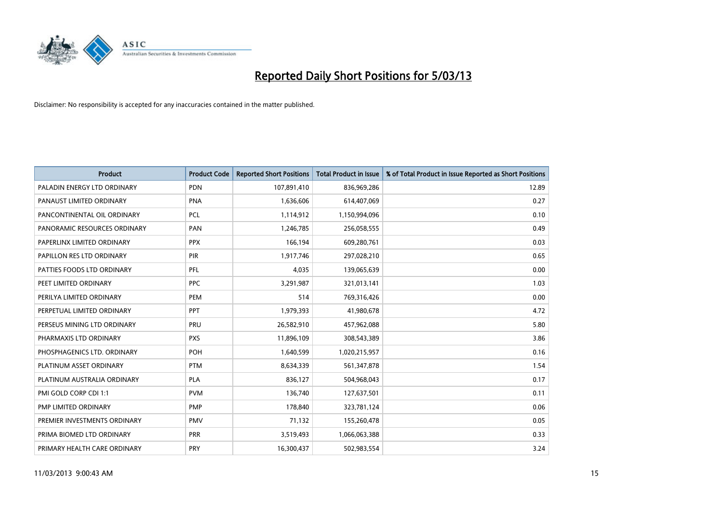

| <b>Product</b>               | <b>Product Code</b> | <b>Reported Short Positions</b> | <b>Total Product in Issue</b> | % of Total Product in Issue Reported as Short Positions |
|------------------------------|---------------------|---------------------------------|-------------------------------|---------------------------------------------------------|
| PALADIN ENERGY LTD ORDINARY  | <b>PDN</b>          | 107,891,410                     | 836,969,286                   | 12.89                                                   |
| PANAUST LIMITED ORDINARY     | <b>PNA</b>          | 1,636,606                       | 614,407,069                   | 0.27                                                    |
| PANCONTINENTAL OIL ORDINARY  | <b>PCL</b>          | 1,114,912                       | 1,150,994,096                 | 0.10                                                    |
| PANORAMIC RESOURCES ORDINARY | PAN                 | 1,246,785                       | 256,058,555                   | 0.49                                                    |
| PAPERLINX LIMITED ORDINARY   | <b>PPX</b>          | 166,194                         | 609,280,761                   | 0.03                                                    |
| PAPILLON RES LTD ORDINARY    | PIR                 | 1,917,746                       | 297,028,210                   | 0.65                                                    |
| PATTIES FOODS LTD ORDINARY   | <b>PFL</b>          | 4,035                           | 139,065,639                   | 0.00                                                    |
| PEET LIMITED ORDINARY        | <b>PPC</b>          | 3,291,987                       | 321,013,141                   | 1.03                                                    |
| PERILYA LIMITED ORDINARY     | PEM                 | 514                             | 769,316,426                   | 0.00                                                    |
| PERPETUAL LIMITED ORDINARY   | <b>PPT</b>          | 1,979,393                       | 41,980,678                    | 4.72                                                    |
| PERSEUS MINING LTD ORDINARY  | PRU                 | 26,582,910                      | 457,962,088                   | 5.80                                                    |
| PHARMAXIS LTD ORDINARY       | <b>PXS</b>          | 11,896,109                      | 308,543,389                   | 3.86                                                    |
| PHOSPHAGENICS LTD. ORDINARY  | POH                 | 1,640,599                       | 1,020,215,957                 | 0.16                                                    |
| PLATINUM ASSET ORDINARY      | <b>PTM</b>          | 8,634,339                       | 561,347,878                   | 1.54                                                    |
| PLATINUM AUSTRALIA ORDINARY  | <b>PLA</b>          | 836,127                         | 504,968,043                   | 0.17                                                    |
| PMI GOLD CORP CDI 1:1        | <b>PVM</b>          | 136,740                         | 127,637,501                   | 0.11                                                    |
| PMP LIMITED ORDINARY         | <b>PMP</b>          | 178,840                         | 323,781,124                   | 0.06                                                    |
| PREMIER INVESTMENTS ORDINARY | <b>PMV</b>          | 71,132                          | 155,260,478                   | 0.05                                                    |
| PRIMA BIOMED LTD ORDINARY    | <b>PRR</b>          | 3,519,493                       | 1,066,063,388                 | 0.33                                                    |
| PRIMARY HEALTH CARE ORDINARY | <b>PRY</b>          | 16,300,437                      | 502,983,554                   | 3.24                                                    |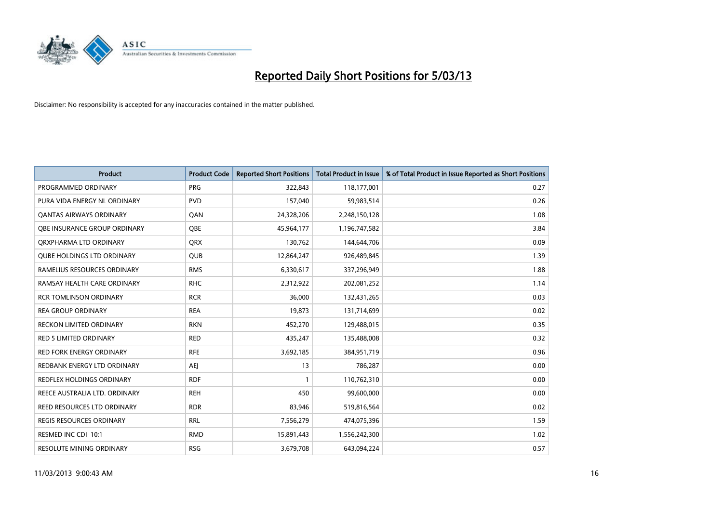

| <b>Product</b>                    | <b>Product Code</b> | <b>Reported Short Positions</b> | <b>Total Product in Issue</b> | % of Total Product in Issue Reported as Short Positions |
|-----------------------------------|---------------------|---------------------------------|-------------------------------|---------------------------------------------------------|
| PROGRAMMED ORDINARY               | <b>PRG</b>          | 322,843                         | 118,177,001                   | 0.27                                                    |
| PURA VIDA ENERGY NL ORDINARY      | <b>PVD</b>          | 157,040                         | 59,983,514                    | 0.26                                                    |
| <b>QANTAS AIRWAYS ORDINARY</b>    | QAN                 | 24,328,206                      | 2,248,150,128                 | 1.08                                                    |
| OBE INSURANCE GROUP ORDINARY      | <b>OBE</b>          | 45,964,177                      | 1,196,747,582                 | 3.84                                                    |
| ORXPHARMA LTD ORDINARY            | <b>QRX</b>          | 130,762                         | 144,644,706                   | 0.09                                                    |
| <b>QUBE HOLDINGS LTD ORDINARY</b> | <b>QUB</b>          | 12,864,247                      | 926,489,845                   | 1.39                                                    |
| RAMELIUS RESOURCES ORDINARY       | <b>RMS</b>          | 6,330,617                       | 337,296,949                   | 1.88                                                    |
| RAMSAY HEALTH CARE ORDINARY       | <b>RHC</b>          | 2,312,922                       | 202,081,252                   | 1.14                                                    |
| <b>RCR TOMLINSON ORDINARY</b>     | <b>RCR</b>          | 36,000                          | 132,431,265                   | 0.03                                                    |
| <b>REA GROUP ORDINARY</b>         | <b>REA</b>          | 19,873                          | 131,714,699                   | 0.02                                                    |
| <b>RECKON LIMITED ORDINARY</b>    | <b>RKN</b>          | 452,270                         | 129,488,015                   | 0.35                                                    |
| <b>RED 5 LIMITED ORDINARY</b>     | <b>RED</b>          | 435,247                         | 135,488,008                   | 0.32                                                    |
| <b>RED FORK ENERGY ORDINARY</b>   | <b>RFE</b>          | 3,692,185                       | 384,951,719                   | 0.96                                                    |
| REDBANK ENERGY LTD ORDINARY       | AEJ                 | 13                              | 786,287                       | 0.00                                                    |
| REDFLEX HOLDINGS ORDINARY         | <b>RDF</b>          |                                 | 110,762,310                   | 0.00                                                    |
| REECE AUSTRALIA LTD. ORDINARY     | <b>REH</b>          | 450                             | 99,600,000                    | 0.00                                                    |
| REED RESOURCES LTD ORDINARY       | <b>RDR</b>          | 83,946                          | 519,816,564                   | 0.02                                                    |
| REGIS RESOURCES ORDINARY          | <b>RRL</b>          | 7,556,279                       | 474,075,396                   | 1.59                                                    |
| RESMED INC CDI 10:1               | <b>RMD</b>          | 15,891,443                      | 1,556,242,300                 | 1.02                                                    |
| RESOLUTE MINING ORDINARY          | <b>RSG</b>          | 3,679,708                       | 643,094,224                   | 0.57                                                    |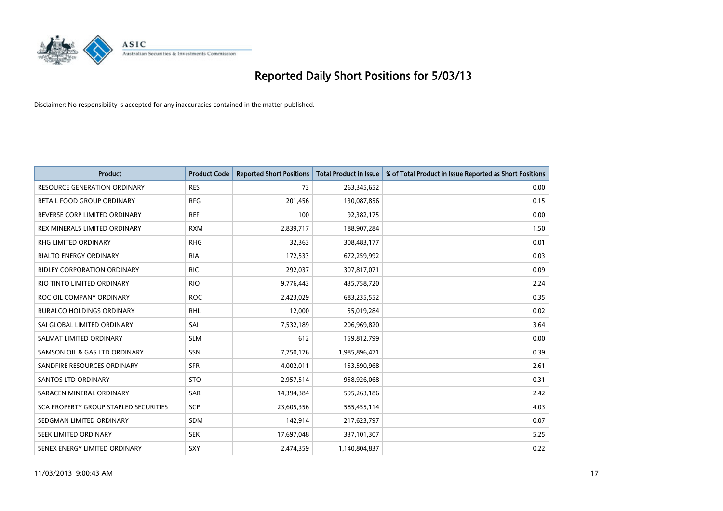

| <b>Product</b>                        | <b>Product Code</b> | <b>Reported Short Positions</b> | <b>Total Product in Issue</b> | % of Total Product in Issue Reported as Short Positions |
|---------------------------------------|---------------------|---------------------------------|-------------------------------|---------------------------------------------------------|
| <b>RESOURCE GENERATION ORDINARY</b>   | <b>RES</b>          | 73                              | 263,345,652                   | 0.00                                                    |
| RETAIL FOOD GROUP ORDINARY            | <b>RFG</b>          | 201,456                         | 130,087,856                   | 0.15                                                    |
| REVERSE CORP LIMITED ORDINARY         | <b>REF</b>          | 100                             | 92,382,175                    | 0.00                                                    |
| REX MINERALS LIMITED ORDINARY         | <b>RXM</b>          | 2,839,717                       | 188,907,284                   | 1.50                                                    |
| <b>RHG LIMITED ORDINARY</b>           | <b>RHG</b>          | 32,363                          | 308,483,177                   | 0.01                                                    |
| <b>RIALTO ENERGY ORDINARY</b>         | <b>RIA</b>          | 172,533                         | 672,259,992                   | 0.03                                                    |
| <b>RIDLEY CORPORATION ORDINARY</b>    | <b>RIC</b>          | 292,037                         | 307,817,071                   | 0.09                                                    |
| RIO TINTO LIMITED ORDINARY            | <b>RIO</b>          | 9,776,443                       | 435,758,720                   | 2.24                                                    |
| ROC OIL COMPANY ORDINARY              | <b>ROC</b>          | 2,423,029                       | 683,235,552                   | 0.35                                                    |
| <b>RURALCO HOLDINGS ORDINARY</b>      | <b>RHL</b>          | 12,000                          | 55,019,284                    | 0.02                                                    |
| SAI GLOBAL LIMITED ORDINARY           | SAI                 | 7,532,189                       | 206,969,820                   | 3.64                                                    |
| SALMAT LIMITED ORDINARY               | <b>SLM</b>          | 612                             | 159,812,799                   | 0.00                                                    |
| SAMSON OIL & GAS LTD ORDINARY         | SSN                 | 7,750,176                       | 1,985,896,471                 | 0.39                                                    |
| SANDFIRE RESOURCES ORDINARY           | <b>SFR</b>          | 4,002,011                       | 153,590,968                   | 2.61                                                    |
| <b>SANTOS LTD ORDINARY</b>            | <b>STO</b>          | 2,957,514                       | 958,926,068                   | 0.31                                                    |
| SARACEN MINERAL ORDINARY              | SAR                 | 14,394,384                      | 595,263,186                   | 2.42                                                    |
| SCA PROPERTY GROUP STAPLED SECURITIES | SCP                 | 23,605,356                      | 585,455,114                   | 4.03                                                    |
| SEDGMAN LIMITED ORDINARY              | <b>SDM</b>          | 142,914                         | 217,623,797                   | 0.07                                                    |
| SEEK LIMITED ORDINARY                 | <b>SEK</b>          | 17,697,048                      | 337,101,307                   | 5.25                                                    |
| SENEX ENERGY LIMITED ORDINARY         | SXY                 | 2,474,359                       | 1,140,804,837                 | 0.22                                                    |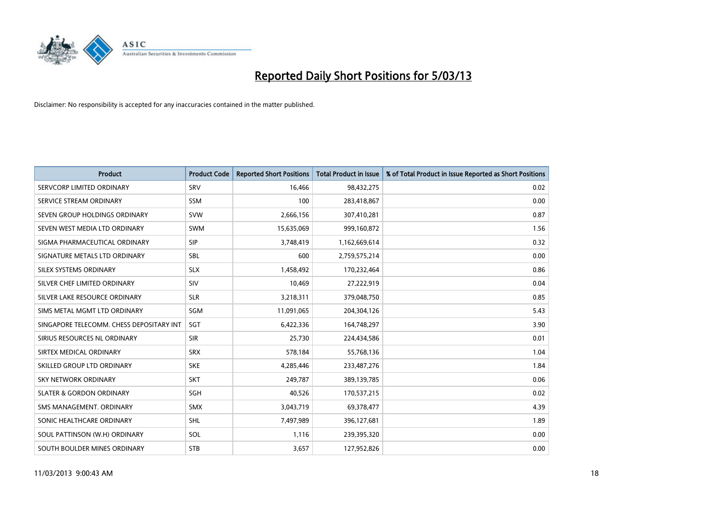

| <b>Product</b>                           | <b>Product Code</b> | <b>Reported Short Positions</b> | <b>Total Product in Issue</b> | % of Total Product in Issue Reported as Short Positions |
|------------------------------------------|---------------------|---------------------------------|-------------------------------|---------------------------------------------------------|
| SERVCORP LIMITED ORDINARY                | SRV                 | 16.466                          | 98,432,275                    | 0.02                                                    |
| SERVICE STREAM ORDINARY                  | <b>SSM</b>          | 100                             | 283,418,867                   | 0.00                                                    |
| SEVEN GROUP HOLDINGS ORDINARY            | <b>SVW</b>          | 2,666,156                       | 307,410,281                   | 0.87                                                    |
| SEVEN WEST MEDIA LTD ORDINARY            | <b>SWM</b>          | 15,635,069                      | 999,160,872                   | 1.56                                                    |
| SIGMA PHARMACEUTICAL ORDINARY            | <b>SIP</b>          | 3,748,419                       | 1,162,669,614                 | 0.32                                                    |
| SIGNATURE METALS LTD ORDINARY            | <b>SBL</b>          | 600                             | 2,759,575,214                 | 0.00                                                    |
| SILEX SYSTEMS ORDINARY                   | <b>SLX</b>          | 1,458,492                       | 170,232,464                   | 0.86                                                    |
| SILVER CHEF LIMITED ORDINARY             | SIV                 | 10.469                          | 27,222,919                    | 0.04                                                    |
| SILVER LAKE RESOURCE ORDINARY            | <b>SLR</b>          | 3,218,311                       | 379,048,750                   | 0.85                                                    |
| SIMS METAL MGMT LTD ORDINARY             | <b>SGM</b>          | 11,091,065                      | 204,304,126                   | 5.43                                                    |
| SINGAPORE TELECOMM. CHESS DEPOSITARY INT | SGT                 | 6,422,336                       | 164,748,297                   | 3.90                                                    |
| SIRIUS RESOURCES NL ORDINARY             | <b>SIR</b>          | 25,730                          | 224,434,586                   | 0.01                                                    |
| SIRTEX MEDICAL ORDINARY                  | <b>SRX</b>          | 578,184                         | 55,768,136                    | 1.04                                                    |
| SKILLED GROUP LTD ORDINARY               | <b>SKE</b>          | 4,285,446                       | 233,487,276                   | 1.84                                                    |
| <b>SKY NETWORK ORDINARY</b>              | <b>SKT</b>          | 249,787                         | 389,139,785                   | 0.06                                                    |
| <b>SLATER &amp; GORDON ORDINARY</b>      | SGH                 | 40,526                          | 170,537,215                   | 0.02                                                    |
| SMS MANAGEMENT, ORDINARY                 | <b>SMX</b>          | 3,043,719                       | 69,378,477                    | 4.39                                                    |
| SONIC HEALTHCARE ORDINARY                | <b>SHL</b>          | 7,497,989                       | 396,127,681                   | 1.89                                                    |
| SOUL PATTINSON (W.H) ORDINARY            | SOL                 | 1,116                           | 239,395,320                   | 0.00                                                    |
| SOUTH BOULDER MINES ORDINARY             | <b>STB</b>          | 3,657                           | 127,952,826                   | 0.00                                                    |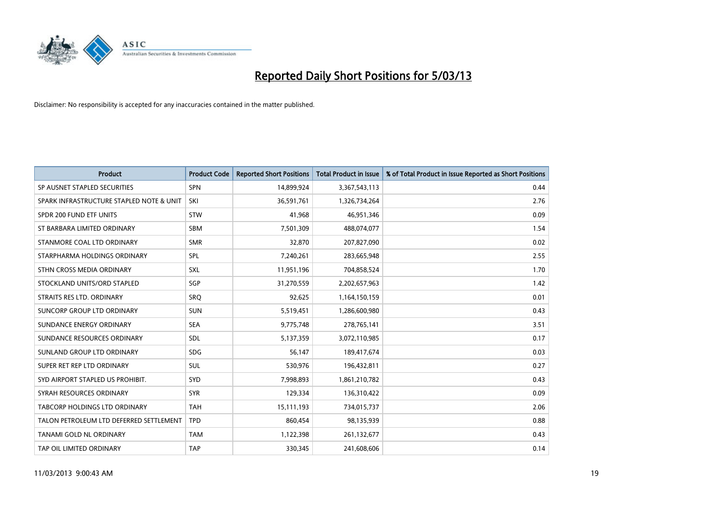

| <b>Product</b>                           | <b>Product Code</b> | <b>Reported Short Positions</b> | <b>Total Product in Issue</b> | % of Total Product in Issue Reported as Short Positions |
|------------------------------------------|---------------------|---------------------------------|-------------------------------|---------------------------------------------------------|
| SP AUSNET STAPLED SECURITIES             | <b>SPN</b>          | 14,899,924                      | 3,367,543,113                 | 0.44                                                    |
| SPARK INFRASTRUCTURE STAPLED NOTE & UNIT | SKI                 | 36,591,761                      | 1,326,734,264                 | 2.76                                                    |
| SPDR 200 FUND ETF UNITS                  | <b>STW</b>          | 41,968                          | 46,951,346                    | 0.09                                                    |
| ST BARBARA LIMITED ORDINARY              | <b>SBM</b>          | 7,501,309                       | 488,074,077                   | 1.54                                                    |
| STANMORE COAL LTD ORDINARY               | <b>SMR</b>          | 32,870                          | 207,827,090                   | 0.02                                                    |
| STARPHARMA HOLDINGS ORDINARY             | SPL                 | 7,240,261                       | 283,665,948                   | 2.55                                                    |
| STHN CROSS MEDIA ORDINARY                | <b>SXL</b>          | 11,951,196                      | 704,858,524                   | 1.70                                                    |
| STOCKLAND UNITS/ORD STAPLED              | SGP                 | 31,270,559                      | 2,202,657,963                 | 1.42                                                    |
| STRAITS RES LTD. ORDINARY                | <b>SRQ</b>          | 92,625                          | 1,164,150,159                 | 0.01                                                    |
| SUNCORP GROUP LTD ORDINARY               | <b>SUN</b>          | 5,519,451                       | 1,286,600,980                 | 0.43                                                    |
| SUNDANCE ENERGY ORDINARY                 | <b>SEA</b>          | 9,775,748                       | 278,765,141                   | 3.51                                                    |
| SUNDANCE RESOURCES ORDINARY              | <b>SDL</b>          | 5,137,359                       | 3,072,110,985                 | 0.17                                                    |
| SUNLAND GROUP LTD ORDINARY               | <b>SDG</b>          | 56.147                          | 189,417,674                   | 0.03                                                    |
| SUPER RET REP LTD ORDINARY               | SUL                 | 530,976                         | 196,432,811                   | 0.27                                                    |
| SYD AIRPORT STAPLED US PROHIBIT.         | SYD                 | 7,998,893                       | 1,861,210,782                 | 0.43                                                    |
| SYRAH RESOURCES ORDINARY                 | <b>SYR</b>          | 129,334                         | 136,310,422                   | 0.09                                                    |
| <b>TABCORP HOLDINGS LTD ORDINARY</b>     | <b>TAH</b>          | 15,111,193                      | 734,015,737                   | 2.06                                                    |
| TALON PETROLEUM LTD DEFERRED SETTLEMENT  | <b>TPD</b>          | 860,454                         | 98,135,939                    | 0.88                                                    |
| <b>TANAMI GOLD NL ORDINARY</b>           | <b>TAM</b>          | 1,122,398                       | 261,132,677                   | 0.43                                                    |
| TAP OIL LIMITED ORDINARY                 | <b>TAP</b>          | 330.345                         | 241,608,606                   | 0.14                                                    |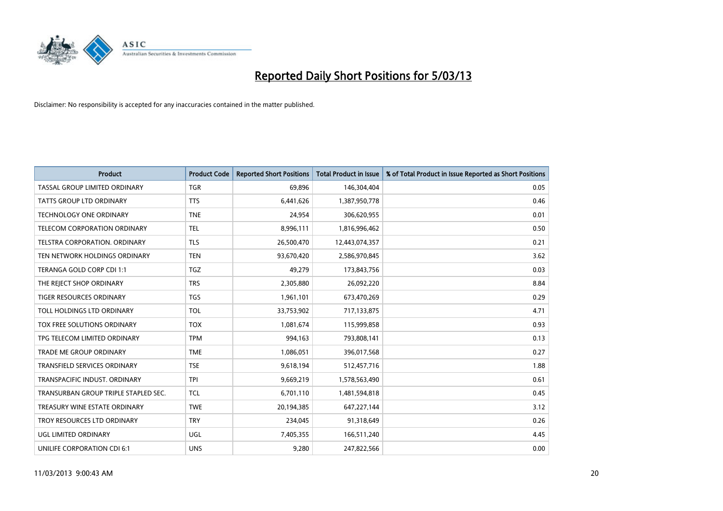

| <b>Product</b>                       | <b>Product Code</b> | <b>Reported Short Positions</b> | <b>Total Product in Issue</b> | % of Total Product in Issue Reported as Short Positions |
|--------------------------------------|---------------------|---------------------------------|-------------------------------|---------------------------------------------------------|
| <b>TASSAL GROUP LIMITED ORDINARY</b> | <b>TGR</b>          | 69,896                          | 146,304,404                   | 0.05                                                    |
| TATTS GROUP LTD ORDINARY             | <b>TTS</b>          | 6,441,626                       | 1,387,950,778                 | 0.46                                                    |
| <b>TECHNOLOGY ONE ORDINARY</b>       | <b>TNE</b>          | 24,954                          | 306,620,955                   | 0.01                                                    |
| TELECOM CORPORATION ORDINARY         | <b>TEL</b>          | 8,996,111                       | 1,816,996,462                 | 0.50                                                    |
| <b>TELSTRA CORPORATION, ORDINARY</b> | <b>TLS</b>          | 26,500,470                      | 12,443,074,357                | 0.21                                                    |
| TEN NETWORK HOLDINGS ORDINARY        | <b>TEN</b>          | 93,670,420                      | 2,586,970,845                 | 3.62                                                    |
| TERANGA GOLD CORP CDI 1:1            | <b>TGZ</b>          | 49.279                          | 173,843,756                   | 0.03                                                    |
| THE REJECT SHOP ORDINARY             | <b>TRS</b>          | 2,305,880                       | 26,092,220                    | 8.84                                                    |
| TIGER RESOURCES ORDINARY             | <b>TGS</b>          | 1,961,101                       | 673,470,269                   | 0.29                                                    |
| TOLL HOLDINGS LTD ORDINARY           | <b>TOL</b>          | 33,753,902                      | 717,133,875                   | 4.71                                                    |
| TOX FREE SOLUTIONS ORDINARY          | <b>TOX</b>          | 1,081,674                       | 115,999,858                   | 0.93                                                    |
| TPG TELECOM LIMITED ORDINARY         | <b>TPM</b>          | 994,163                         | 793,808,141                   | 0.13                                                    |
| TRADE ME GROUP ORDINARY              | <b>TME</b>          | 1,086,051                       | 396,017,568                   | 0.27                                                    |
| <b>TRANSFIELD SERVICES ORDINARY</b>  | <b>TSE</b>          | 9,618,194                       | 512,457,716                   | 1.88                                                    |
| TRANSPACIFIC INDUST, ORDINARY        | <b>TPI</b>          | 9,669,219                       | 1,578,563,490                 | 0.61                                                    |
| TRANSURBAN GROUP TRIPLE STAPLED SEC. | <b>TCL</b>          | 6,701,110                       | 1,481,594,818                 | 0.45                                                    |
| TREASURY WINE ESTATE ORDINARY        | <b>TWE</b>          | 20,194,385                      | 647,227,144                   | 3.12                                                    |
| TROY RESOURCES LTD ORDINARY          | <b>TRY</b>          | 234,045                         | 91,318,649                    | 0.26                                                    |
| UGL LIMITED ORDINARY                 | <b>UGL</b>          | 7,405,355                       | 166,511,240                   | 4.45                                                    |
| UNILIFE CORPORATION CDI 6:1          | <b>UNS</b>          | 9.280                           | 247,822,566                   | 0.00                                                    |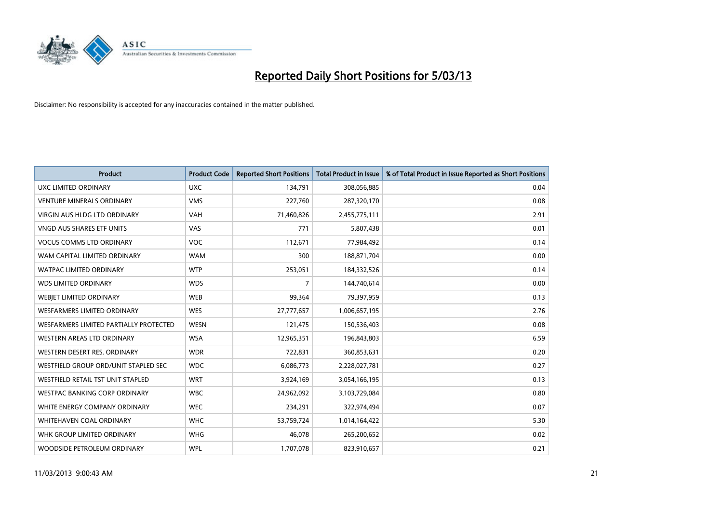

| <b>Product</b>                         | <b>Product Code</b> | <b>Reported Short Positions</b> | <b>Total Product in Issue</b> | % of Total Product in Issue Reported as Short Positions |
|----------------------------------------|---------------------|---------------------------------|-------------------------------|---------------------------------------------------------|
| UXC LIMITED ORDINARY                   | <b>UXC</b>          | 134,791                         | 308,056,885                   | 0.04                                                    |
| <b>VENTURE MINERALS ORDINARY</b>       | <b>VMS</b>          | 227,760                         | 287,320,170                   | 0.08                                                    |
| <b>VIRGIN AUS HLDG LTD ORDINARY</b>    | <b>VAH</b>          | 71,460,826                      | 2,455,775,111                 | 2.91                                                    |
| VNGD AUS SHARES ETF UNITS              | <b>VAS</b>          | 771                             | 5,807,438                     | 0.01                                                    |
| <b>VOCUS COMMS LTD ORDINARY</b>        | <b>VOC</b>          | 112,671                         | 77,984,492                    | 0.14                                                    |
| WAM CAPITAL LIMITED ORDINARY           | <b>WAM</b>          | 300                             | 188,871,704                   | 0.00                                                    |
| <b>WATPAC LIMITED ORDINARY</b>         | <b>WTP</b>          | 253,051                         | 184,332,526                   | 0.14                                                    |
| <b>WDS LIMITED ORDINARY</b>            | <b>WDS</b>          | 7                               | 144,740,614                   | 0.00                                                    |
| WEBIET LIMITED ORDINARY                | <b>WEB</b>          | 99,364                          | 79,397,959                    | 0.13                                                    |
| <b>WESFARMERS LIMITED ORDINARY</b>     | <b>WES</b>          | 27,777,657                      | 1,006,657,195                 | 2.76                                                    |
| WESFARMERS LIMITED PARTIALLY PROTECTED | <b>WESN</b>         | 121,475                         | 150,536,403                   | 0.08                                                    |
| WESTERN AREAS LTD ORDINARY             | <b>WSA</b>          | 12,965,351                      | 196,843,803                   | 6.59                                                    |
| WESTERN DESERT RES. ORDINARY           | <b>WDR</b>          | 722,831                         | 360,853,631                   | 0.20                                                    |
| WESTFIELD GROUP ORD/UNIT STAPLED SEC   | <b>WDC</b>          | 6,086,773                       | 2,228,027,781                 | 0.27                                                    |
| WESTFIELD RETAIL TST UNIT STAPLED      | <b>WRT</b>          | 3,924,169                       | 3,054,166,195                 | 0.13                                                    |
| WESTPAC BANKING CORP ORDINARY          | <b>WBC</b>          | 24,962,092                      | 3,103,729,084                 | 0.80                                                    |
| WHITE ENERGY COMPANY ORDINARY          | <b>WEC</b>          | 234,291                         | 322,974,494                   | 0.07                                                    |
| WHITEHAVEN COAL ORDINARY               | <b>WHC</b>          | 53,759,724                      | 1,014,164,422                 | 5.30                                                    |
| WHK GROUP LIMITED ORDINARY             | <b>WHG</b>          | 46,078                          | 265,200,652                   | 0.02                                                    |
| WOODSIDE PETROLEUM ORDINARY            | <b>WPL</b>          | 1,707,078                       | 823,910,657                   | 0.21                                                    |